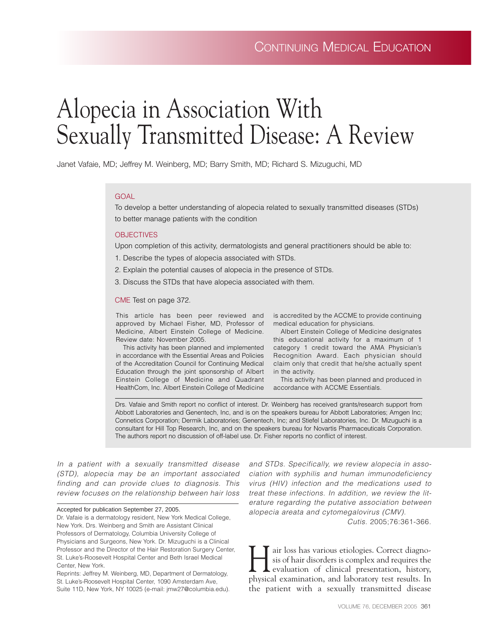# Alopecia in Association With Sexually Transmitted Disease: A Review

Janet Vafaie, MD; Jeffrey M. Weinberg, MD; Barry Smith, MD; Richard S. Mizuguchi, MD

## GOAL

To develop a better understanding of alopecia related to sexually transmitted diseases (STDs) to better manage patients with the condition

## **OBJECTIVES**

Upon completion of this activity, dermatologists and general practitioners should be able to:

- 1. Describe the types of alopecia associated with STDs.
- 2. Explain the potential causes of alopecia in the presence of STDs.
- 3. Discuss the STDs that have alopecia associated with them.

### CME Test on page 372.

This article has been peer reviewed and approved by Michael Fisher, MD, Professor of Medicine, Albert Einstein College of Medicine. Review date: November 2005.

This activity has been planned and implemented in accordance with the Essential Areas and Policies of the Accreditation Council for Continuing Medical Education through the joint sponsorship of Albert Einstein College of Medicine and Quadrant HealthCom, Inc. Albert Einstein College of Medicine

is accredited by the ACCME to provide continuing medical education for physicians.

Albert Einstein College of Medicine designates this educational activity for a maximum of 1 category 1 credit toward the AMA Physician's Recognition Award. Each physician should claim only that credit that he/she actually spent in the activity.

This activity has been planned and produced in accordance with ACCME Essentials.

Drs. Vafaie and Smith report no conflict of interest. Dr. Weinberg has received grants/research support from Abbott Laboratories and Genentech, Inc, and is on the speakers bureau for Abbott Laboratories; Amgen Inc; Connetics Corporation; Dermik Laboratories; Genentech, Inc; and Stiefel Laboratories, Inc. Dr. Mizuguchi is a consultant for Hill Top Research, Inc, and on the speakers bureau for Novartis Pharmaceuticals Corporation. The authors report no discussion of off-label use. Dr. Fisher reports no conflict of interest.

*In a patient with a sexually transmitted disease (STD), alopecia may be an important associated finding and can provide clues to diagnosis. This review focuses on the relationship between hair loss*

#### Accepted for publication September 27, 2005.

Dr. Vafaie is a dermatology resident, New York Medical College, New York. Drs. Weinberg and Smith are Assistant Clinical Professors of Dermatology, Columbia University College of Physicians and Surgeons, New York. Dr. Mizuguchi is a Clinical Professor and the Director of the Hair Restoration Surgery Center, St. Luke's-Roosevelt Hospital Center and Beth Israel Medical Center, New York.

Reprints: Jeffrey M. Weinberg, MD, Department of Dermatology, St. Luke's-Roosevelt Hospital Center, 1090 Amsterdam Ave, Suite 11D, New York, NY 10025 (e-mail: jmw27@columbia.edu). *and STDs. Specifically, we review alopecia in association with syphilis and human immunodeficiency virus (HIV) infection and the medications used to treat these infections. In addition, we review the literature regarding the putative association between alopecia areata and cytomegalovirus (CMV).*

*Cutis.* 2005;76:361-366.

air loss has various etiologies. Correct diagnosis of hair disorders is complex and requires the evaluation of clinical presentation, history, physical examination, and laboratory test results. In the patient with a sexually transmitted disease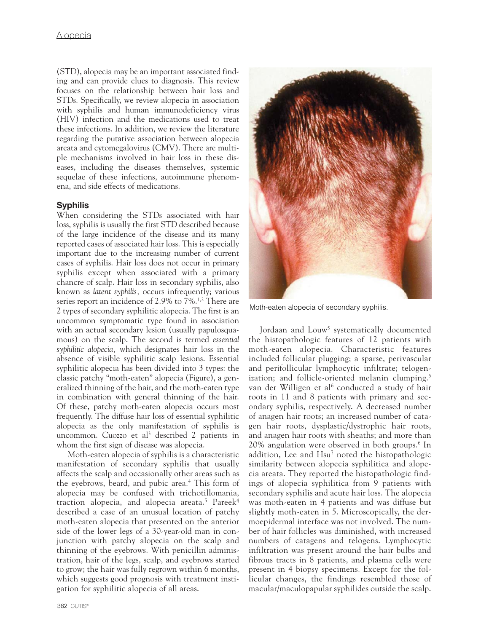(STD), alopecia may be an important associated finding and can provide clues to diagnosis. This review focuses on the relationship between hair loss and STDs. Specifically, we review alopecia in association with syphilis and human immunodeficiency virus (HIV) infection and the medications used to treat these infections. In addition, we review the literature regarding the putative association between alopecia areata and cytomegalovirus (CMV). There are multiple mechanisms involved in hair loss in these diseases, including the diseases themselves, systemic sequelae of these infections, autoimmune phenomena, and side effects of medications.

# **Syphilis**

When considering the STDs associated with hair loss, syphilis is usually the first STD described because of the large incidence of the disease and its many reported cases of associated hair loss. This is especially important due to the increasing number of current cases of syphilis. Hair loss does not occur in primary syphilis except when associated with a primary chancre of scalp. Hair loss in secondary syphilis, also known as *latent syphilis,* occurs infrequently; various series report an incidence of 2.9% to 7%.1,2 There are 2 types of secondary syphilitic alopecia. The first is an uncommon symptomatic type found in association with an actual secondary lesion (usually papulosquamous) on the scalp. The second is termed *essential syphilitic alopecia,* which designates hair loss in the absence of visible syphilitic scalp lesions. Essential syphilitic alopecia has been divided into 3 types: the classic patchy "moth-eaten" alopecia (Figure), a generalized thinning of the hair, and the moth-eaten type in combination with general thinning of the hair. Of these, patchy moth-eaten alopecia occurs most frequently. The diffuse hair loss of essential syphilitic alopecia as the only manifestation of syphilis is uncommon. Cuozzo et al<sup>3</sup> described 2 patients in whom the first sign of disease was alopecia.

Moth-eaten alopecia of syphilis is a characteristic manifestation of secondary syphilis that usually affects the scalp and occasionally other areas such as the eyebrows, beard, and pubic area.<sup>4</sup> This form of alopecia may be confused with trichotillomania, traction alopecia, and alopecia areata.<sup>5</sup> Pareek<sup>4</sup> described a case of an unusual location of patchy moth-eaten alopecia that presented on the anterior side of the lower legs of a 30-year-old man in conjunction with patchy alopecia on the scalp and thinning of the eyebrows. With penicillin administration, hair of the legs, scalp, and eyebrows started to grow; the hair was fully regrown within 6 months, which suggests good prognosis with treatment instigation for syphilitic alopecia of all areas.



Moth-eaten alopecia of secondary syphilis.

Jordaan and Louw<sup>5</sup> systematically documented the histopathologic features of 12 patients with moth-eaten alopecia. Characteristic features included follicular plugging; a sparse, perivascular and perifollicular lymphocytic infiltrate; telogenization; and follicle-oriented melanin clumping.<sup>5</sup> van der Willigen et al<sup>6</sup> conducted a study of hair roots in 11 and 8 patients with primary and secondary syphilis, respectively. A decreased number of anagen hair roots; an increased number of catagen hair roots, dysplastic/dystrophic hair roots, and anagen hair roots with sheaths; and more than 20% angulation were observed in both groups.6 In addition, Lee and Hsu<sup>7</sup> noted the histopathologic similarity between alopecia syphilitica and alopecia areata. They reported the histopathologic findings of alopecia syphilitica from 9 patients with secondary syphilis and acute hair loss. The alopecia was moth-eaten in 4 patients and was diffuse but slightly moth-eaten in 5. Microscopically, the dermoepidermal interface was not involved. The number of hair follicles was diminished, with increased numbers of catagens and telogens. Lymphocytic infiltration was present around the hair bulbs and fibrous tracts in 8 patients, and plasma cells were present in 4 biopsy specimens. Except for the follicular changes, the findings resembled those of macular/maculopapular syphilides outside the scalp.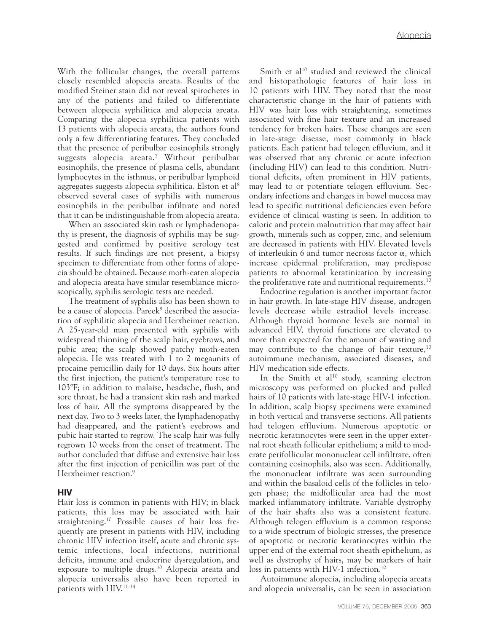With the follicular changes, the overall patterns closely resembled alopecia areata. Results of the modified Steiner stain did not reveal spirochetes in any of the patients and failed to differentiate between alopecia syphilitica and alopecia areata. Comparing the alopecia syphilitica patients with 13 patients with alopecia areata, the authors found only a few differentiating features. They concluded that the presence of peribulbar eosinophils strongly suggests alopecia areata.7 Without peribulbar eosinophils, the presence of plasma cells, abundant lymphocytes in the isthmus, or peribulbar lymphoid aggregates suggests alopecia syphilitica. Elston et al8 observed several cases of syphilis with numerous eosinophils in the peribulbar infiltrate and noted that it can be indistinguishable from alopecia areata.

When an associated skin rash or lymphadenopathy is present, the diagnosis of syphilis may be suggested and confirmed by positive serology test results. If such findings are not present, a biopsy specimen to differentiate from other forms of alopecia should be obtained. Because moth-eaten alopecia and alopecia areata have similar resemblance microscopically, syphilis serologic tests are needed.

The treatment of syphilis also has been shown to be a cause of alopecia. Pareek<sup>9</sup> described the association of syphilitic alopecia and Herxheimer reaction. A 25-year-old man presented with syphilis with widespread thinning of the scalp hair, eyebrows, and pubic area; the scalp showed patchy moth-eaten alopecia. He was treated with 1 to 2 megaunits of procaine penicillin daily for 10 days. Six hours after the first injection, the patient's temperature rose to 103F; in addition to malaise, headache, flush, and sore throat, he had a transient skin rash and marked loss of hair. All the symptoms disappeared by the next day. Two to 3 weeks later, the lymphadenopathy had disappeared, and the patient's eyebrows and pubic hair started to regrow. The scalp hair was fully regrown 10 weeks from the onset of treatment. The author concluded that diffuse and extensive hair loss after the first injection of penicillin was part of the Herxheimer reaction.<sup>9</sup>

## **HIV**

Hair loss is common in patients with HIV; in black patients, this loss may be associated with hair straightening.10 Possible causes of hair loss frequently are present in patients with HIV, including chronic HIV infection itself, acute and chronic systemic infections, local infections, nutritional deficits, immune and endocrine dysregulation, and exposure to multiple drugs.10 Alopecia areata and alopecia universalis also have been reported in patients with HIV.11-14

Smith et al<sup>10</sup> studied and reviewed the clinical and histopathologic features of hair loss in 10 patients with HIV. They noted that the most characteristic change in the hair of patients with HIV was hair loss with straightening, sometimes associated with fine hair texture and an increased tendency for broken hairs. These changes are seen in late-stage disease, most commonly in black patients. Each patient had telogen effluvium, and it was observed that any chronic or acute infection (including HIV) can lead to this condition. Nutritional deficits, often prominent in HIV patients, may lead to or potentiate telogen effluvium. Secondary infections and changes in bowel mucosa may lead to specific nutritional deficiencies even before evidence of clinical wasting is seen. In addition to caloric and protein malnutrition that may affect hair growth, minerals such as copper, zinc, and selenium are decreased in patients with HIV. Elevated levels of interleukin 6 and tumor necrosis factor  $\alpha$ , which increase epidermal proliferation, may predispose patients to abnormal keratinization by increasing the proliferative rate and nutritional requirements.<sup>10</sup>

Endocrine regulation is another important factor in hair growth. In late-stage HIV disease, androgen levels decrease while estradiol levels increase. Although thyroid hormone levels are normal in advanced HIV, thyroid functions are elevated to more than expected for the amount of wasting and may contribute to the change of hair texture, $10$ autoimmune mechanism, associated diseases, and HIV medication side effects.

In the Smith et al<sup>10</sup> study, scanning electron microscopy was performed on plucked and pulled hairs of 10 patients with late-stage HIV-1 infection. In addition, scalp biopsy specimens were examined in both vertical and transverse sections. All patients had telogen effluvium. Numerous apoptotic or necrotic keratinocytes were seen in the upper external root sheath follicular epithelium; a mild to moderate perifollicular mononuclear cell infiltrate, often containing eosinophils, also was seen. Additionally, the mononuclear infiltrate was seen surrounding and within the basaloid cells of the follicles in telogen phase; the midfollicular area had the most marked inflammatory infiltrate. Variable dystrophy of the hair shafts also was a consistent feature. Although telogen effluvium is a common response to a wide spectrum of biologic stresses, the presence of apoptotic or necrotic keratinocytes within the upper end of the external root sheath epithelium, as well as dystrophy of hairs, may be markers of hair loss in patients with HIV-1 infection.<sup>10</sup>

Autoimmune alopecia, including alopecia areata and alopecia universalis, can be seen in association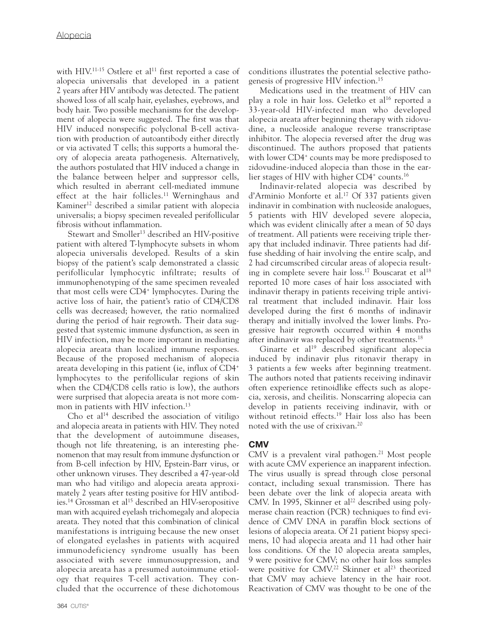with HIV.<sup>11-15</sup> Ostlere et al<sup>11</sup> first reported a case of alopecia universalis that developed in a patient 2 years after HIV antibody was detected. The patient showed loss of all scalp hair, eyelashes, eyebrows, and body hair. Two possible mechanisms for the development of alopecia were suggested. The first was that HIV induced nonspecific polyclonal B-cell activation with production of autoantibody either directly or via activated T cells; this supports a humoral theory of alopecia areata pathogenesis. Alternatively, the authors postulated that HIV induced a change in the balance between helper and suppressor cells, which resulted in aberrant cell-mediated immune effect at the hair follicles.<sup>11</sup> Werninghaus and Kaminer<sup>12</sup> described a similar patient with alopecia universalis; a biopsy specimen revealed perifollicular fibrosis without inflammation.

Stewart and Smoller<sup>13</sup> described an HIV-positive patient with altered T-lymphocyte subsets in whom alopecia universalis developed. Results of a skin biopsy of the patient's scalp demonstrated a classic perifollicular lymphocytic infiltrate; results of immunophenotyping of the same specimen revealed that most cells were CD4+ lymphocytes. During the active loss of hair, the patient's ratio of CD4/CD8 cells was decreased; however, the ratio normalized during the period of hair regrowth. Their data suggested that systemic immune dysfunction, as seen in HIV infection, may be more important in mediating alopecia areata than localized immune responses. Because of the proposed mechanism of alopecia areata developing in this patient (ie, influx of CD4+ lymphocytes to the perifollicular regions of skin when the CD4/CD8 cells ratio is low), the authors were surprised that alopecia areata is not more common in patients with HIV infection.<sup>13</sup>

Cho et al<sup>14</sup> described the association of vitiligo and alopecia areata in patients with HIV. They noted that the development of autoimmune diseases, though not life threatening, is an interesting phenomenon that may result from immune dysfunction or from B-cell infection by HIV, Epstein-Barr virus, or other unknown viruses. They described a 47-year-old man who had vitiligo and alopecia areata approximately 2 years after testing positive for HIV antibodies.<sup>14</sup> Grossman et al<sup>15</sup> described an HIV-seropositive man with acquired eyelash trichomegaly and alopecia areata. They noted that this combination of clinical manifestations is intriguing because the new onset of elongated eyelashes in patients with acquired immunodeficiency syndrome usually has been associated with severe immunosuppression, and alopecia areata has a presumed autoimmune etiology that requires T-cell activation. They concluded that the occurrence of these dichotomous conditions illustrates the potential selective pathogenesis of progressive HIV infection.15

Medications used in the treatment of HIV can play a role in hair loss. Geletko et al<sup>16</sup> reported a 33-year-old HIV-infected man who developed alopecia areata after beginning therapy with zidovudine, a nucleoside analogue reverse transcriptase inhibitor. The alopecia reversed after the drug was discontinued. The authors proposed that patients with lower CD4<sup>+</sup> counts may be more predisposed to zidovudine-induced alopecia than those in the earlier stages of HIV with higher CD4<sup>+</sup> counts.<sup>16</sup>

Indinavir-related alopecia was described by d'Arminio Monforte et al.<sup>17</sup> Of 337 patients given indinavir in combination with nucleoside analogues, 5 patients with HIV developed severe alopecia, which was evident clinically after a mean of 50 days of treatment. All patients were receiving triple therapy that included indinavir. Three patients had diffuse shedding of hair involving the entire scalp, and 2 had circumscribed circular areas of alopecia resulting in complete severe hair loss.<sup>17</sup> Bouscarat et al<sup>18</sup> reported 10 more cases of hair loss associated with indinavir therapy in patients receiving triple antiviral treatment that included indinavir. Hair loss developed during the first 6 months of indinavir therapy and initially involved the lower limbs. Progressive hair regrowth occurred within 4 months after indinavir was replaced by other treatments.18

Ginarte et al<sup>19</sup> described significant alopecia induced by indinavir plus ritonavir therapy in 3 patients a few weeks after beginning treatment. The authors noted that patients receiving indinavir often experience retinoidlike effects such as alopecia, xerosis, and cheilitis. Nonscarring alopecia can develop in patients receiving indinavir, with or without retinoid effects.<sup>19</sup> Hair loss also has been noted with the use of crixivan.20

# **CMV**

CMV is a prevalent viral pathogen.<sup>21</sup> Most people with acute CMV experience an inapparent infection. The virus usually is spread through close personal contact, including sexual transmission. There has been debate over the link of alopecia areata with CMV. In 1995, Skinner et al<sup>22</sup> described using polymerase chain reaction (PCR) techniques to find evidence of CMV DNA in paraffin block sections of lesions of alopecia areata. Of 21 patient biopsy specimens, 10 had alopecia areata and 11 had other hair loss conditions. Of the 10 alopecia areata samples, 9 were positive for CMV; no other hair loss samples were positive for CMV.<sup>22</sup> Skinner et al<sup>23</sup> theorized that CMV may achieve latency in the hair root. Reactivation of CMV was thought to be one of the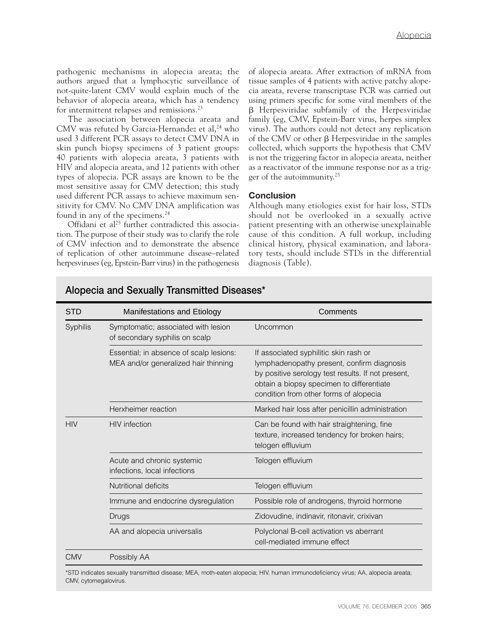pathogenic mechanisms in alopecia areata; the authors argued that a lymphocytic surveillance of not-quite-latent CMV would explain much of the behavior of alopecia areata, which has a tendency for intermittent relapses and remissions.23

The association between alopecia areata and CMV was refuted by Garcia-Hernandez et al,<sup>24</sup> who used 3 different PCR assays to detect CMV DNA in skin punch biopsy specimens of 3 patient groups: 40 patients with alopecia areata, 3 patients with HIV and alopecia areata, and 12 patients with other types of alopecia. PCR assays are known to be the most sensitive assay for CMV detection; this study used different PCR assays to achieve maximum sensitivity for CMV. No CMV DNA amplification was found in any of the specimens.<sup>24</sup>

Offidani et al<sup>25</sup> further contradicted this association. The purpose of their study was to clarify the role of CMV infection and to demonstrate the absence of replication of other autoimmune disease–related herpesviruses (eg, Epstein-Barr virus) in the pathogenesis of alopecia areata. After extraction of mRNA from tissue samples of 4 patients with active patchy alopecia areata, reverse transcriptase PCR was carried out using primers specific for some viral members of the Herpesviridae subfamily of the Herpesviridae family (eg, CMV, Epstein-Barr virus, herpes simplex virus). The authors could not detect any replication of the CMV or other  $\beta$  Herpesviridae in the samples collected, which supports the hypothesis that CMV is not the triggering factor in alopecia areata, neither as a reactivator of the immune response nor as a trigger of the autoimmunity.25

## **Conclusion**

Although many etiologies exist for hair loss, STDs should not be overlooked in a sexually active patient presenting with an otherwise unexplainable cause of this condition. A full workup, including clinical history, physical examination, and laboratory tests, should include STDs in the differential diagnosis (Table).

| STD        | Manifestations and Etiology                                                     | Comments                                                                                                                                                                                                                         |
|------------|---------------------------------------------------------------------------------|----------------------------------------------------------------------------------------------------------------------------------------------------------------------------------------------------------------------------------|
| Syphilis   | Symptomatic; associated with lesion<br>of secondary syphilis on scalp           | Uncommon                                                                                                                                                                                                                         |
|            | Essential; in absence of scalp lesions:<br>MEA and/or generalized hair thinning | If associated syphilitic skin rash or<br>lymphadenopathy present, confirm diagnosis<br>by positive serology test results. If not present,<br>obtain a biopsy specimen to differentiate<br>condition from other forms of alopecia |
|            | Herxheimer reaction                                                             | Marked hair loss after penicillin administration                                                                                                                                                                                 |
| <b>HIV</b> | <b>HIV</b> infection                                                            | Can be found with hair straightening, fine<br>texture, increased tendency for broken hairs;<br>telogen effluvium                                                                                                                 |
|            | Acute and chronic systemic<br>infections, local infections                      | Telogen effluvium                                                                                                                                                                                                                |
|            | Nutritional deficits                                                            | Telogen effluvium                                                                                                                                                                                                                |
|            | Immune and endocrine dysregulation                                              | Possible role of androgens, thyroid hormone                                                                                                                                                                                      |
|            | Drugs                                                                           | Zidovudine, indinavir, ritonavir, crixivan                                                                                                                                                                                       |
|            | AA and alopecia universalis                                                     | Polyclonal B-cell activation vs aberrant<br>cell-mediated immune effect                                                                                                                                                          |
| CMV        | Possibly AA                                                                     |                                                                                                                                                                                                                                  |

# **Alopecia and Sexually Transmitted Diseases\***

\*STD indicates sexually transmitted disease; MEA, moth-eaten alopecia; HIV, human immunodeficiency virus; AA, alopecia areata; CMV, cytomegalovirus.